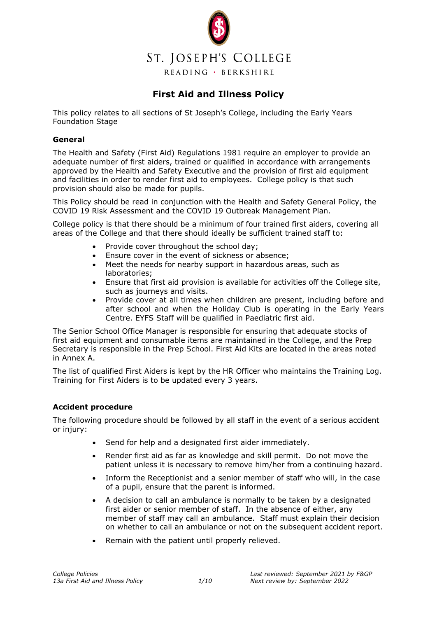

# **First Aid and Illness Policy**

This policy relates to all sections of St Joseph's College, including the Early Years Foundation Stage

#### **General**

The Health and Safety (First Aid) Regulations 1981 require an employer to provide an adequate number of first aiders, trained or qualified in accordance with arrangements approved by the Health and Safety Executive and the provision of first aid equipment and facilities in order to render first aid to employees. College policy is that such provision should also be made for pupils.

This Policy should be read in conjunction with the Health and Safety General Policy, the COVID 19 Risk Assessment and the COVID 19 Outbreak Management Plan.

College policy is that there should be a minimum of four trained first aiders, covering all areas of the College and that there should ideally be sufficient trained staff to:

- Provide cover throughout the school day;
- Ensure cover in the event of sickness or absence:
- Meet the needs for nearby support in hazardous areas, such as laboratories;
- Ensure that first aid provision is available for activities off the College site, such as journeys and visits.
- Provide cover at all times when children are present, including before and after school and when the Holiday Club is operating in the Early Years Centre. EYFS Staff will be qualified in Paediatric first aid.

The Senior School Office Manager is responsible for ensuring that adequate stocks of first aid equipment and consumable items are maintained in the College, and the Prep Secretary is responsible in the Prep School. First Aid Kits are located in the areas noted in Annex A.

The list of qualified First Aiders is kept by the HR Officer who maintains the Training Log. Training for First Aiders is to be updated every 3 years.

#### **Accident procedure**

The following procedure should be followed by all staff in the event of a serious accident or injury:

- Send for help and a designated first aider immediately.
- Render first aid as far as knowledge and skill permit. Do not move the patient unless it is necessary to remove him/her from a continuing hazard.
- Inform the Receptionist and a senior member of staff who will, in the case of a pupil, ensure that the parent is informed.
- A decision to call an ambulance is normally to be taken by a designated first aider or senior member of staff. In the absence of either, any member of staff may call an ambulance. Staff must explain their decision on whether to call an ambulance or not on the subsequent accident report.
- Remain with the patient until properly relieved.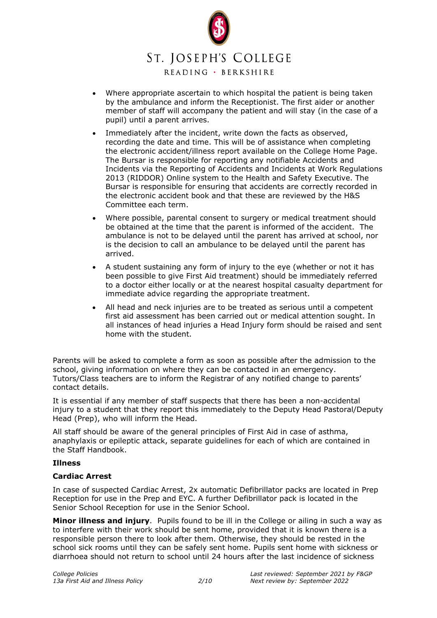

READING · BERKSHIRE

- Where appropriate ascertain to which hospital the patient is being taken by the ambulance and inform the Receptionist. The first aider or another member of staff will accompany the patient and will stay (in the case of a pupil) until a parent arrives.
- Immediately after the incident, write down the facts as observed, recording the date and time. This will be of assistance when completing the electronic accident/illness report available on the College Home Page. The Bursar is responsible for reporting any notifiable Accidents and Incidents via the Reporting of Accidents and Incidents at Work Regulations 2013 (RIDDOR) Online system to the Health and Safety Executive. The Bursar is responsible for ensuring that accidents are correctly recorded in the electronic accident book and that these are reviewed by the H&S Committee each term.
- Where possible, parental consent to surgery or medical treatment should be obtained at the time that the parent is informed of the accident. The ambulance is not to be delayed until the parent has arrived at school, nor is the decision to call an ambulance to be delayed until the parent has arrived.
- A student sustaining any form of injury to the eye (whether or not it has been possible to give First Aid treatment) should be immediately referred to a doctor either locally or at the nearest hospital casualty department for immediate advice regarding the appropriate treatment.
- All head and neck injuries are to be treated as serious until a competent first aid assessment has been carried out or medical attention sought. In all instances of head injuries a Head Injury form should be raised and sent home with the student.

Parents will be asked to complete a form as soon as possible after the admission to the school, giving information on where they can be contacted in an emergency. Tutors/Class teachers are to inform the Registrar of any notified change to parents' contact details.

It is essential if any member of staff suspects that there has been a non-accidental injury to a student that they report this immediately to the Deputy Head Pastoral/Deputy Head (Prep), who will inform the Head.

All staff should be aware of the general principles of First Aid in case of asthma, anaphylaxis or epileptic attack, separate guidelines for each of which are contained in the Staff Handbook.

#### **Illness**

#### **Cardiac Arrest**

In case of suspected Cardiac Arrest, 2x automatic Defibrillator packs are located in Prep Reception for use in the Prep and EYC. A further Defibrillator pack is located in the Senior School Reception for use in the Senior School.

**Minor illness and injury**. Pupils found to be ill in the College or ailing in such a way as to interfere with their work should be sent home, provided that it is known there is a responsible person there to look after them. Otherwise, they should be rested in the school sick rooms until they can be safely sent home. Pupils sent home with sickness or diarrhoea should not return to school until 24 hours after the last incidence of sickness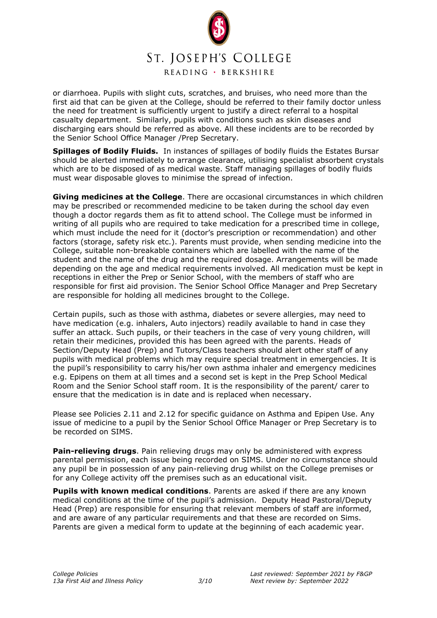

READING · BERKSHIRE

or diarrhoea. Pupils with slight cuts, scratches, and bruises, who need more than the first aid that can be given at the College, should be referred to their family doctor unless the need for treatment is sufficiently urgent to justify a direct referral to a hospital casualty department. Similarly, pupils with conditions such as skin diseases and discharging ears should be referred as above. All these incidents are to be recorded by the Senior School Office Manager /Prep Secretary.

**Spillages of Bodily Fluids.** In instances of spillages of bodily fluids the Estates Bursar should be alerted immediately to arrange clearance, utilising specialist absorbent crystals which are to be disposed of as medical waste. Staff managing spillages of bodily fluids must wear disposable gloves to minimise the spread of infection.

**Giving medicines at the College**. There are occasional circumstances in which children may be prescribed or recommended medicine to be taken during the school day even though a doctor regards them as fit to attend school. The College must be informed in writing of all pupils who are required to take medication for a prescribed time in college, which must include the need for it (doctor's prescription or recommendation) and other factors (storage, safety risk etc.). Parents must provide, when sending medicine into the College, suitable non-breakable containers which are labelled with the name of the student and the name of the drug and the required dosage. Arrangements will be made depending on the age and medical requirements involved. All medication must be kept in receptions in either the Prep or Senior School, with the members of staff who are responsible for first aid provision. The Senior School Office Manager and Prep Secretary are responsible for holding all medicines brought to the College.

Certain pupils, such as those with asthma, diabetes or severe allergies, may need to have medication (e.g. inhalers, Auto injectors) readily available to hand in case they suffer an attack. Such pupils, or their teachers in the case of very young children, will retain their medicines, provided this has been agreed with the parents. Heads of Section/Deputy Head (Prep) and Tutors/Class teachers should alert other staff of any pupils with medical problems which may require special treatment in emergencies. It is the pupil's responsibility to carry his/her own asthma inhaler and emergency medicines e.g. Epipens on them at all times and a second set is kept in the Prep School Medical Room and the Senior School staff room. It is the responsibility of the parent/ carer to ensure that the medication is in date and is replaced when necessary.

Please see Policies 2.11 and 2.12 for specific guidance on Asthma and Epipen Use. Any issue of medicine to a pupil by the Senior School Office Manager or Prep Secretary is to be recorded on SIMS.

**Pain-relieving drugs**. Pain relieving drugs may only be administered with express parental permission, each issue being recorded on SIMS. Under no circumstance should any pupil be in possession of any pain-relieving drug whilst on the College premises or for any College activity off the premises such as an educational visit.

**Pupils with known medical conditions**. Parents are asked if there are any known medical conditions at the time of the pupil's admission. Deputy Head Pastoral/Deputy Head (Prep) are responsible for ensuring that relevant members of staff are informed, and are aware of any particular requirements and that these are recorded on Sims. Parents are given a medical form to update at the beginning of each academic year.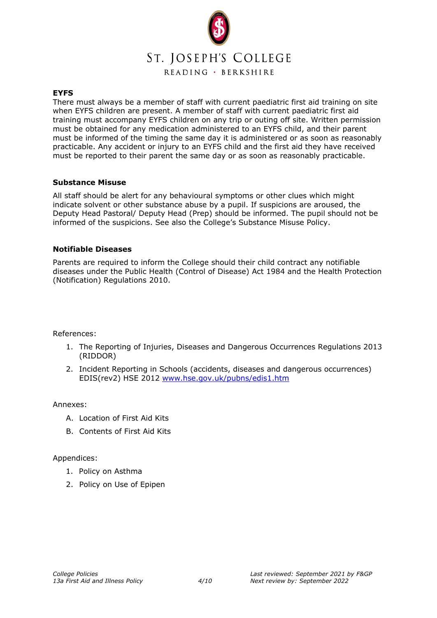

#### **EYFS**

There must always be a member of staff with current paediatric first aid training on site when EYFS children are present. A member of staff with current paediatric first aid training must accompany EYFS children on any trip or outing off site. Written permission must be obtained for any medication administered to an EYFS child, and their parent must be informed of the timing the same day it is administered or as soon as reasonably practicable. Any accident or injury to an EYFS child and the first aid they have received must be reported to their parent the same day or as soon as reasonably practicable.

#### **Substance Misuse**

All staff should be alert for any behavioural symptoms or other clues which might indicate solvent or other substance abuse by a pupil. If suspicions are aroused, the Deputy Head Pastoral/ Deputy Head (Prep) should be informed. The pupil should not be informed of the suspicions. See also the College's Substance Misuse Policy.

#### **Notifiable Diseases**

Parents are required to inform the College should their child contract any notifiable diseases under the Public Health (Control of Disease) Act 1984 and the Health Protection (Notification) Regulations 2010.

#### References:

- 1. The Reporting of Injuries, Diseases and Dangerous Occurrences Regulations 2013 (RIDDOR)
- 2. Incident Reporting in Schools (accidents, diseases and dangerous occurrences) EDIS(rev2) HSE 2012 [www.hse.gov.uk/pubns/edis1.htm](http://www.hse.gov.uk/pubns/edis1.htm)

#### Annexes:

- A. Location of First Aid Kits
- B. Contents of First Aid Kits

#### Appendices:

- 1. Policy on Asthma
- 2. Policy on Use of Epipen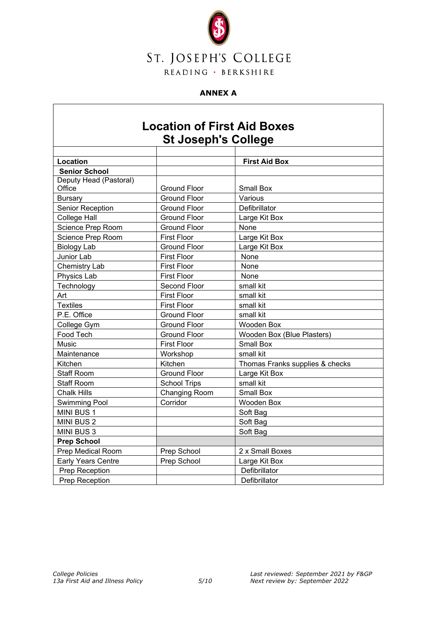

# **ANNEX A**

# **Location of First Aid Boxes St Joseph's College**

| Location                  |                      | <b>First Aid Box</b>            |
|---------------------------|----------------------|---------------------------------|
| <b>Senior School</b>      |                      |                                 |
| Deputy Head (Pastoral)    |                      |                                 |
| Office                    | <b>Ground Floor</b>  | <b>Small Box</b>                |
| <b>Bursary</b>            | <b>Ground Floor</b>  | Various                         |
| Senior Reception          | <b>Ground Floor</b>  | Defibrillator                   |
| <b>College Hall</b>       | <b>Ground Floor</b>  | Large Kit Box                   |
| Science Prep Room         | <b>Ground Floor</b>  | None                            |
| Science Prep Room         | <b>First Floor</b>   | Large Kit Box                   |
| <b>Biology Lab</b>        | <b>Ground Floor</b>  | Large Kit Box                   |
| Junior Lab                | <b>First Floor</b>   | None                            |
| Chemistry Lab             | <b>First Floor</b>   | None                            |
| Physics Lab               | <b>First Floor</b>   | None                            |
| Technology                | Second Floor         | small kit                       |
| Art                       | <b>First Floor</b>   | small kit                       |
| <b>Textiles</b>           | <b>First Floor</b>   | small kit                       |
| P.E. Office               | <b>Ground Floor</b>  | small kit                       |
| College Gym               | <b>Ground Floor</b>  | <b>Wooden Box</b>               |
| Food Tech                 | <b>Ground Floor</b>  | Wooden Box (Blue Plasters)      |
| Music                     | <b>First Floor</b>   | <b>Small Box</b>                |
| Maintenance               | Workshop             | small kit                       |
| Kitchen                   | Kitchen              | Thomas Franks supplies & checks |
| <b>Staff Room</b>         | <b>Ground Floor</b>  | Large Kit Box                   |
| <b>Staff Room</b>         | <b>School Trips</b>  | small kit                       |
| <b>Chalk Hills</b>        | <b>Changing Room</b> | <b>Small Box</b>                |
| <b>Swimming Pool</b>      | Corridor             | Wooden Box                      |
| MINI BUS 1                |                      | Soft Bag                        |
| <b>MINI BUS 2</b>         |                      | Soft Bag                        |
| <b>MINI BUS 3</b>         |                      | Soft Bag                        |
| <b>Prep School</b>        |                      |                                 |
| Prep Medical Room         | Prep School          | 2 x Small Boxes                 |
| <b>Early Years Centre</b> | Prep School          | Large Kit Box                   |
| Prep Reception            |                      | Defibrillator                   |
| Prep Reception            |                      | Defibrillator                   |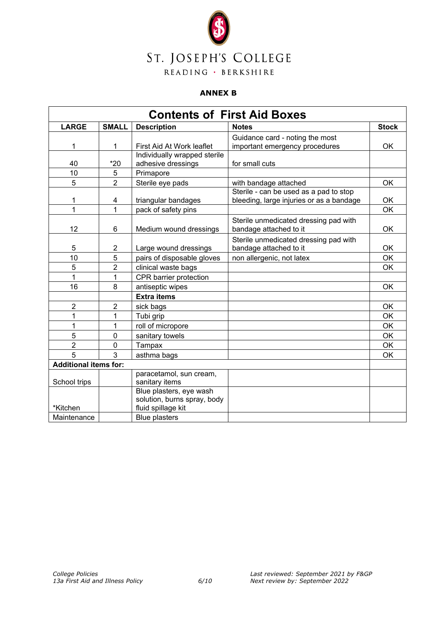

#### **ANNEX B**

| <b>Contents of First Aid Boxes</b> |                |                                                                              |                                                                                    |              |  |
|------------------------------------|----------------|------------------------------------------------------------------------------|------------------------------------------------------------------------------------|--------------|--|
| <b>LARGE</b>                       | <b>SMALL</b>   | <b>Description</b>                                                           | <b>Notes</b>                                                                       | <b>Stock</b> |  |
| 1                                  | 1              | First Aid At Work leaflet                                                    | Guidance card - noting the most<br>important emergency procedures                  | OK.          |  |
| 40                                 | $*20$          | Individually wrapped sterile<br>adhesive dressings                           | for small cuts                                                                     |              |  |
| 10                                 | 5              | Primapore                                                                    |                                                                                    |              |  |
| 5                                  | $\overline{2}$ | Sterile eye pads                                                             | with bandage attached                                                              | OK           |  |
| 1                                  | 4              | triangular bandages                                                          | Sterile - can be used as a pad to stop<br>bleeding, large injuries or as a bandage | OK           |  |
| 1                                  | 1              | pack of safety pins                                                          |                                                                                    | OK           |  |
| 12                                 | 6              | Medium wound dressings                                                       | Sterile unmedicated dressing pad with<br>bandage attached to it                    | OK           |  |
| 5                                  | $\overline{2}$ | Large wound dressings                                                        | Sterile unmedicated dressing pad with<br>bandage attached to it                    | OK           |  |
| 10                                 | 5              | pairs of disposable gloves                                                   | non allergenic, not latex                                                          | <b>OK</b>    |  |
| 5                                  | $\overline{2}$ | clinical waste bags                                                          |                                                                                    | OK           |  |
| 1                                  | 1              | CPR barrier protection                                                       |                                                                                    |              |  |
| 16                                 | 8              | antiseptic wipes                                                             |                                                                                    | <b>OK</b>    |  |
|                                    |                | <b>Extra items</b>                                                           |                                                                                    |              |  |
| $\overline{c}$                     | $\overline{2}$ | sick bags                                                                    |                                                                                    | <b>OK</b>    |  |
| 1                                  | 1              | Tubi grip                                                                    |                                                                                    | OK           |  |
| 1                                  | 1              | roll of micropore                                                            |                                                                                    | <b>OK</b>    |  |
| 5                                  | $\mathbf 0$    | sanitary towels                                                              |                                                                                    | <b>OK</b>    |  |
| $\overline{2}$                     | $\mathbf 0$    | Tampax                                                                       |                                                                                    | OK           |  |
| 5                                  | 3              | asthma bags                                                                  |                                                                                    | <b>OK</b>    |  |
| <b>Additional items for:</b>       |                |                                                                              |                                                                                    |              |  |
| School trips                       |                | paracetamol, sun cream,<br>sanitary items                                    |                                                                                    |              |  |
| *Kitchen                           |                | Blue plasters, eye wash<br>solution, burns spray, body<br>fluid spillage kit |                                                                                    |              |  |
| Maintenance                        |                | <b>Blue plasters</b>                                                         |                                                                                    |              |  |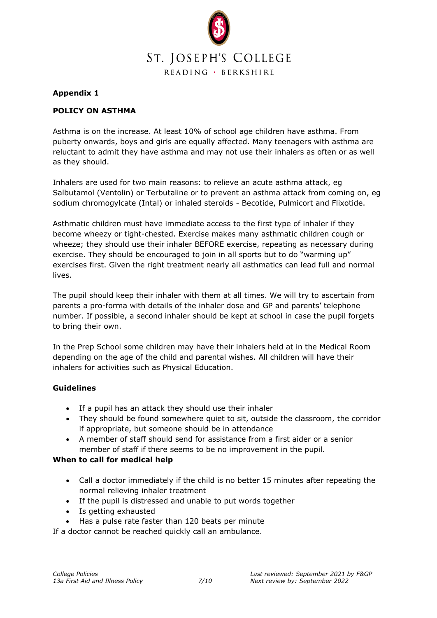

# **Appendix 1**

# **POLICY ON ASTHMA**

Asthma is on the increase. At least 10% of school age children have asthma. From puberty onwards, boys and girls are equally affected. Many teenagers with asthma are reluctant to admit they have asthma and may not use their inhalers as often or as well as they should.

Inhalers are used for two main reasons: to relieve an acute asthma attack, eg Salbutamol (Ventolin) or Terbutaline or to prevent an asthma attack from coming on, eg sodium chromogylcate (Intal) or inhaled steroids - Becotide, Pulmicort and Flixotide.

Asthmatic children must have immediate access to the first type of inhaler if they become wheezy or tight-chested. Exercise makes many asthmatic children cough or wheeze; they should use their inhaler BEFORE exercise, repeating as necessary during exercise. They should be encouraged to join in all sports but to do "warming up" exercises first. Given the right treatment nearly all asthmatics can lead full and normal lives.

The pupil should keep their inhaler with them at all times. We will try to ascertain from parents a pro-forma with details of the inhaler dose and GP and parents' telephone number. If possible, a second inhaler should be kept at school in case the pupil forgets to bring their own.

In the Prep School some children may have their inhalers held at in the Medical Room depending on the age of the child and parental wishes. All children will have their inhalers for activities such as Physical Education.

# **Guidelines**

- If a pupil has an attack they should use their inhaler
- They should be found somewhere quiet to sit, outside the classroom, the corridor if appropriate, but someone should be in attendance
- A member of staff should send for assistance from a first aider or a senior member of staff if there seems to be no improvement in the pupil.

# **When to call for medical help**

- Call a doctor immediately if the child is no better 15 minutes after repeating the normal relieving inhaler treatment
- If the pupil is distressed and unable to put words together
- Is getting exhausted
- Has a pulse rate faster than 120 beats per minute

If a doctor cannot be reached quickly call an ambulance.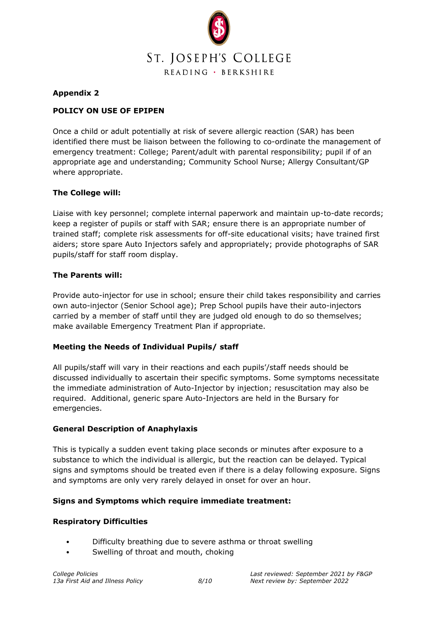

# **Appendix 2**

# **POLICY ON USE OF EPIPEN**

Once a child or adult potentially at risk of severe allergic reaction (SAR) has been identified there must be liaison between the following to co-ordinate the management of emergency treatment: College; Parent/adult with parental responsibility; pupil if of an appropriate age and understanding; Community School Nurse; Allergy Consultant/GP where appropriate.

# **The College will:**

Liaise with key personnel; complete internal paperwork and maintain up-to-date records; keep a register of pupils or staff with SAR; ensure there is an appropriate number of trained staff; complete risk assessments for off-site educational visits; have trained first aiders; store spare Auto Injectors safely and appropriately; provide photographs of SAR pupils/staff for staff room display.

# **The Parents will:**

Provide auto-injector for use in school; ensure their child takes responsibility and carries own auto-injector (Senior School age); Prep School pupils have their auto-injectors carried by a member of staff until they are judged old enough to do so themselves; make available Emergency Treatment Plan if appropriate.

# **Meeting the Needs of Individual Pupils/ staff**

All pupils/staff will vary in their reactions and each pupils'/staff needs should be discussed individually to ascertain their specific symptoms. Some symptoms necessitate the immediate administration of Auto-Injector by injection; resuscitation may also be required. Additional, generic spare Auto-Injectors are held in the Bursary for emergencies.

# **General Description of Anaphylaxis**

This is typically a sudden event taking place seconds or minutes after exposure to a substance to which the individual is allergic, but the reaction can be delayed. Typical signs and symptoms should be treated even if there is a delay following exposure. Signs and symptoms are only very rarely delayed in onset for over an hour.

# **Signs and Symptoms which require immediate treatment:**

#### **Respiratory Difficulties**

- Difficulty breathing due to severe asthma or throat swelling
- Swelling of throat and mouth, choking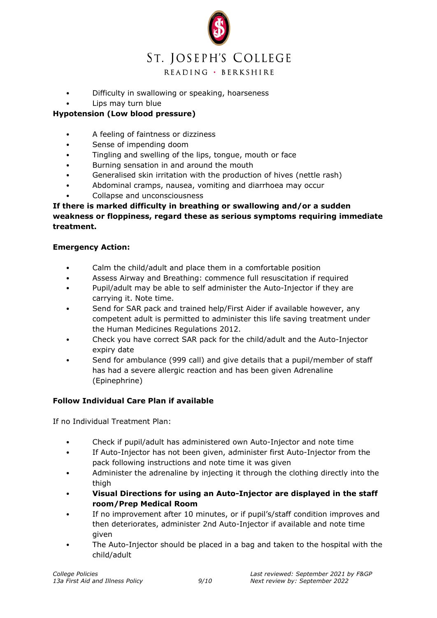

- Difficulty in swallowing or speaking, hoarseness
	- Lips may turn blue

# **Hypotension (Low blood pressure)**

- A feeling of faintness or dizziness
- Sense of impending doom
- Tingling and swelling of the lips, tongue, mouth or face
- Burning sensation in and around the mouth
- Generalised skin irritation with the production of hives (nettle rash)
- Abdominal cramps, nausea, vomiting and diarrhoea may occur
- Collapse and unconsciousness

# **If there is marked difficulty in breathing or swallowing and/or a sudden weakness or floppiness, regard these as serious symptoms requiring immediate treatment.**

# **Emergency Action:**

- Calm the child/adult and place them in a comfortable position
- Assess Airway and Breathing: commence full resuscitation if required
- Pupil/adult may be able to self administer the Auto-Injector if they are carrying it. Note time.
- Send for SAR pack and trained help/First Aider if available however, any competent adult is permitted to administer this life saving treatment under the Human Medicines Regulations 2012.
- Check you have correct SAR pack for the child/adult and the Auto-Injector expiry date
- Send for ambulance (999 call) and give details that a pupil/member of staff has had a severe allergic reaction and has been given Adrenaline (Epinephrine)

# **Follow Individual Care Plan if available**

If no Individual Treatment Plan:

- Check if pupil/adult has administered own Auto-Injector and note time
- If Auto-Injector has not been given, administer first Auto-Injector from the pack following instructions and note time it was given
- Administer the adrenaline by injecting it through the clothing directly into the thigh
- **Visual Directions for using an Auto-Injector are displayed in the staff room/Prep Medical Room**
- If no improvement after 10 minutes, or if pupil's/staff condition improves and then deteriorates, administer 2nd Auto-Injector if available and note time given
- The Auto-Injector should be placed in a bag and taken to the hospital with the child/adult